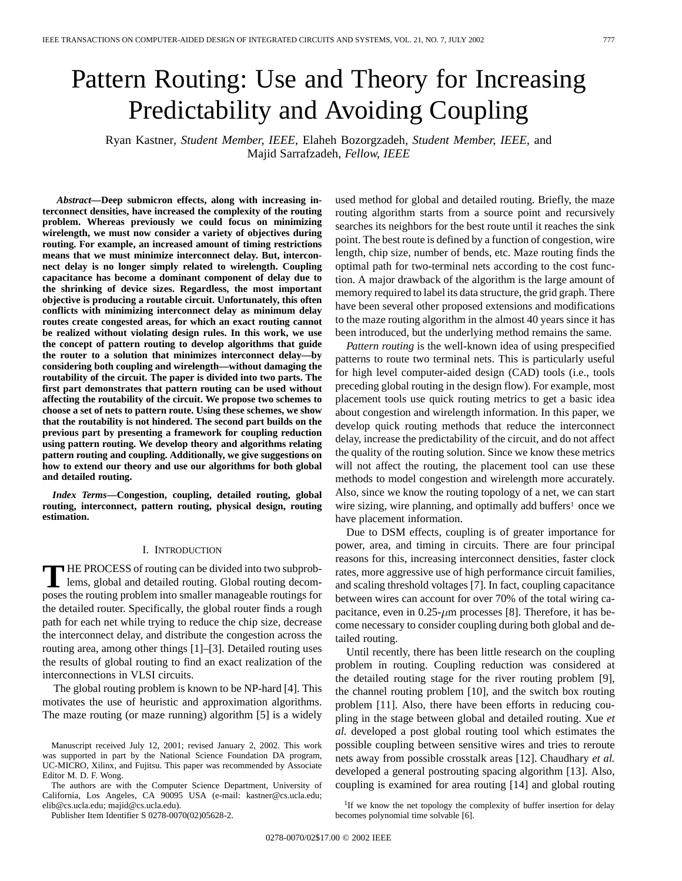# Pattern Routing: Use and Theory for Increasing Predictability and Avoiding Coupling

Ryan Kastner*, Student Member, IEEE*, Elaheh Bozorgzadeh*, Student Member, IEEE*, and Majid Sarrafzadeh*, Fellow, IEEE*

*Abstract—***Deep submicron effects, along with increasing interconnect densities, have increased the complexity of the routing problem. Whereas previously we could focus on minimizing wirelength, we must now consider a variety of objectives during routing. For example, an increased amount of timing restrictions means that we must minimize interconnect delay. But, interconnect delay is no longer simply related to wirelength. Coupling capacitance has become a dominant component of delay due to the shrinking of device sizes. Regardless, the most important objective is producing a routable circuit. Unfortunately, this often conflicts with minimizing interconnect delay as minimum delay routes create congested areas, for which an exact routing cannot be realized without violating design rules. In this work, we use the concept of pattern routing to develop algorithms that guide the router to a solution that minimizes interconnect delay—by considering both coupling and wirelength—without damaging the routability of the circuit. The paper is divided into two parts. The first part demonstrates that pattern routing can be used without affecting the routability of the circuit. We propose two schemes to choose a set of nets to pattern route. Using these schemes, we show that the routability is not hindered. The second part builds on the previous part by presenting a framework for coupling reduction using pattern routing. We develop theory and algorithms relating pattern routing and coupling. Additionally, we give suggestions on how to extend our theory and use our algorithms for both global and detailed routing.**

*Index Terms—***Congestion, coupling, detailed routing, global routing, interconnect, pattern routing, physical design, routing estimation.**

# I. INTRODUCTION

**T** HE PROCESS of routing can be divided into two subproblems, global and detailed routing. Global routing decomposes the routing problem into smaller manageable routings for the detailed router. Specifically, the global router finds a rough path for each net while trying to reduce the chip size, decrease the interconnect delay, and distribute the congestion across the routing area, among other things [1]–[3]. Detailed routing uses the results of global routing to find an exact realization of the interconnections in VLSI circuits.

The global routing problem is known to be NP-hard [4]. This motivates the use of heuristic and approximation algorithms. The maze routing (or maze running) algorithm [5] is a widely

The authors are with the Computer Science Department, University of California, Los Angeles, CA 90095 USA (e-mail: kastner@cs.ucla.edu; elib@cs.ucla.edu; majid@cs.ucla.edu).

Publisher Item Identifier S 0278-0070(02)05628-2.

used method for global and detailed routing. Briefly, the maze routing algorithm starts from a source point and recursively searches its neighbors for the best route until it reaches the sink point. The best route is defined by a function of congestion, wire length, chip size, number of bends, etc. Maze routing finds the optimal path for two-terminal nets according to the cost function. A major drawback of the algorithm is the large amount of memory required to label its data structure, the grid graph. There have been several other proposed extensions and modifications to the maze routing algorithm in the almost 40 years since it has been introduced, but the underlying method remains the same.

*Pattern routing* is the well-known idea of using prespecified patterns to route two terminal nets. This is particularly useful for high level computer-aided design (CAD) tools (i.e., tools preceding global routing in the design flow). For example, most placement tools use quick routing metrics to get a basic idea about congestion and wirelength information. In this paper, we develop quick routing methods that reduce the interconnect delay, increase the predictability of the circuit, and do not affect the quality of the routing solution. Since we know these metrics will not affect the routing, the placement tool can use these methods to model congestion and wirelength more accurately. Also, since we know the routing topology of a net, we can start wire sizing, wire planning, and optimally add buffers<sup>1</sup> once we have placement information.

Due to DSM effects, coupling is of greater importance for power, area, and timing in circuits. There are four principal reasons for this, increasing interconnect densities, faster clock rates, more aggressive use of high performance circuit families, and scaling threshold voltages [7]. In fact, coupling capacitance between wires can account for over 70% of the total wiring capacitance, even in  $0.25$ - $\mu$ m processes [8]. Therefore, it has become necessary to consider coupling during both global and detailed routing.

Until recently, there has been little research on the coupling problem in routing. Coupling reduction was considered at the detailed routing stage for the river routing problem [9], the channel routing problem [10], and the switch box routing problem [11]. Also, there have been efforts in reducing coupling in the stage between global and detailed routing. Xue *et al.* developed a post global routing tool which estimates the possible coupling between sensitive wires and tries to reroute nets away from possible crosstalk areas [12]. Chaudhary *et al.* developed a general postrouting spacing algorithm [13]. Also, coupling is examined for area routing [14] and global routing

<sup>1</sup>If we know the net topology the complexity of buffer insertion for delay becomes polynomial time solvable [6].

Manuscript received July 12, 2001; revised January 2, 2002. This work was supported in part by the National Science Foundation DA program, UC-MICRO, Xilinx, and Fujitsu. This paper was recommended by Associate Editor M. D. F. Wong.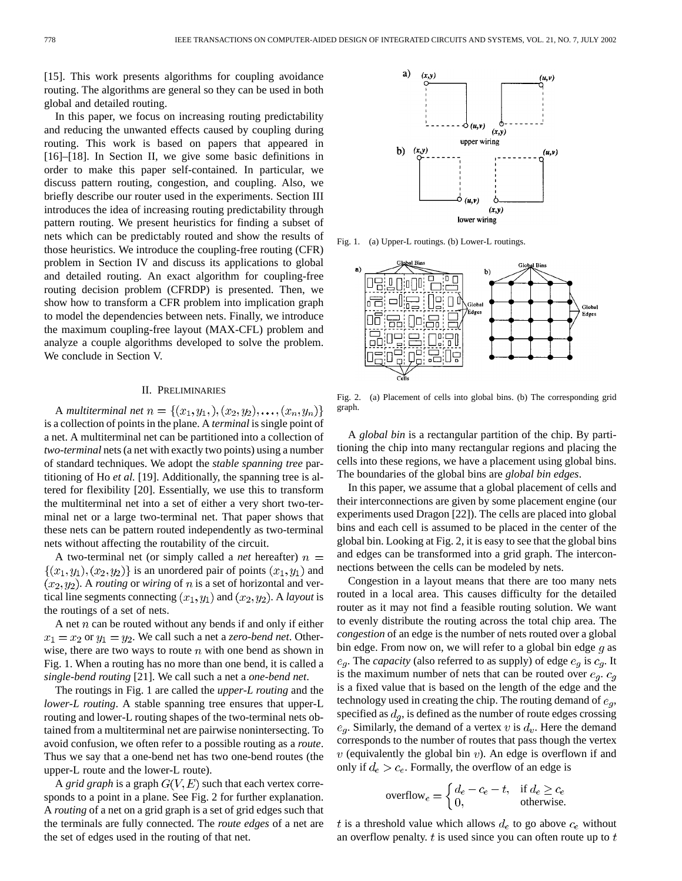[15]. This work presents algorithms for coupling avoidance routing. The algorithms are general so they can be used in both global and detailed routing.

In this paper, we focus on increasing routing predictability and reducing the unwanted effects caused by coupling during routing. This work is based on papers that appeared in [16]–[18]. In Section II, we give some basic definitions in order to make this paper self-contained. In particular, we discuss pattern routing, congestion, and coupling. Also, we briefly describe our router used in the experiments. Section III introduces the idea of increasing routing predictability through pattern routing. We present heuristics for finding a subset of nets which can be predictably routed and show the results of those heuristics. We introduce the coupling-free routing (CFR) problem in Section IV and discuss its applications to global and detailed routing. An exact algorithm for coupling-free routing decision problem (CFRDP) is presented. Then, we show how to transform a CFR problem into implication graph to model the dependencies between nets. Finally, we introduce the maximum coupling-free layout (MAX-CFL) problem and analyze a couple algorithms developed to solve the problem. We conclude in Section V.

# II. PRELIMINARIES

A *multiterminal net*  $n = \{(x_1, y_1), (x_2, y_2), \ldots, (x_n, y_n)\}$ is a collection of points in the plane. A *terminal* is single point of a net. A multiterminal net can be partitioned into a collection of *two-terminal* nets (a net with exactly two points) using a number of standard techniques. We adopt the *stable spanning tree* partitioning of Ho *et al.* [19]. Additionally, the spanning tree is altered for flexibility [20]. Essentially, we use this to transform the multiterminal net into a set of either a very short two-terminal net or a large two-terminal net. That paper shows that these nets can be pattern routed independently as two-terminal nets without affecting the routability of the circuit.

A two-terminal net (or simply called a *net* hereafter)  $n =$  $\{(x_1,y_1),(x_2,y_2)\}\$ is an unordered pair of points  $(x_1,y_1)$  and  $(x_2, y_2)$ . A *routing* or *wiring* of *n* is a set of horizontal and vertical line segments connecting  $(x_1, y_1)$  and  $(x_2, y_2)$ . A *layout* is the routings of a set of nets.

A net  $n$  can be routed without any bends if and only if either  $x_1 = x_2$  or  $y_1 = y_2$ . We call such a net a *zero-bend net*. Otherwise, there are two ways to route  $n$  with one bend as shown in Fig. 1. When a routing has no more than one bend, it is called a *single-bend routing* [21]. We call such a net a *one-bend net*.

The routings in Fig. 1 are called the *upper-L routing* and the *lower-L routing*. A stable spanning tree ensures that upper-L routing and lower-L routing shapes of the two-terminal nets obtained from a multiterminal net are pairwise nonintersecting. To avoid confusion, we often refer to a possible routing as a *route*. Thus we say that a one-bend net has two one-bend routes (the upper-L route and the lower-L route).

A *grid graph* is a graph  $G(V, E)$  such that each vertex corresponds to a point in a plane. See Fig. 2 for further explanation. A *routing* of a net on a grid graph is a set of grid edges such that the terminals are fully connected. The *route edges* of a net are the set of edges used in the routing of that net.



Fig. 1. (a) Upper-L routings. (b) Lower-L routings.



Fig. 2. (a) Placement of cells into global bins. (b) The corresponding grid graph.

A *global bin* is a rectangular partition of the chip. By partitioning the chip into many rectangular regions and placing the cells into these regions, we have a placement using global bins. The boundaries of the global bins are *global bin edges*.

In this paper, we assume that a global placement of cells and their interconnections are given by some placement engine (our experiments used Dragon [22]). The cells are placed into global bins and each cell is assumed to be placed in the center of the global bin. Looking at Fig. 2, it is easy to see that the global bins and edges can be transformed into a grid graph. The interconnections between the cells can be modeled by nets.

Congestion in a layout means that there are too many nets routed in a local area. This causes difficulty for the detailed router as it may not find a feasible routing solution. We want to evenly distribute the routing across the total chip area. The *congestion* of an edge is the number of nets routed over a global bin edge. From now on, we will refer to a global bin edge  $g$  as  $e_q$ . The *capacity* (also referred to as supply) of edge  $e_q$  is  $c_q$ . It is the maximum number of nets that can be routed over  $e_g$ .  $c_g$ is a fixed value that is based on the length of the edge and the technology used in creating the chip. The routing demand of  $e_q$ , specified as  $d_g$ , is defined as the number of route edges crossing  $e_g$ . Similarly, the demand of a vertex v is  $d_v$ . Here the demand corresponds to the number of routes that pass though the vertex  $v$  (equivalently the global bin  $v$ ). An edge is overflown if and only if  $d_e > c_e$ . Formally, the overflow of an edge is

$$
\text{overlap} = \begin{cases} d_e - c_e - t, & \text{if } d_e \ge c_e \\ 0, & \text{otherwise.} \end{cases}
$$

t is a threshold value which allows  $d_e$  to go above  $c_e$  without an overflow penalty.  $t$  is used since you can often route up to  $t$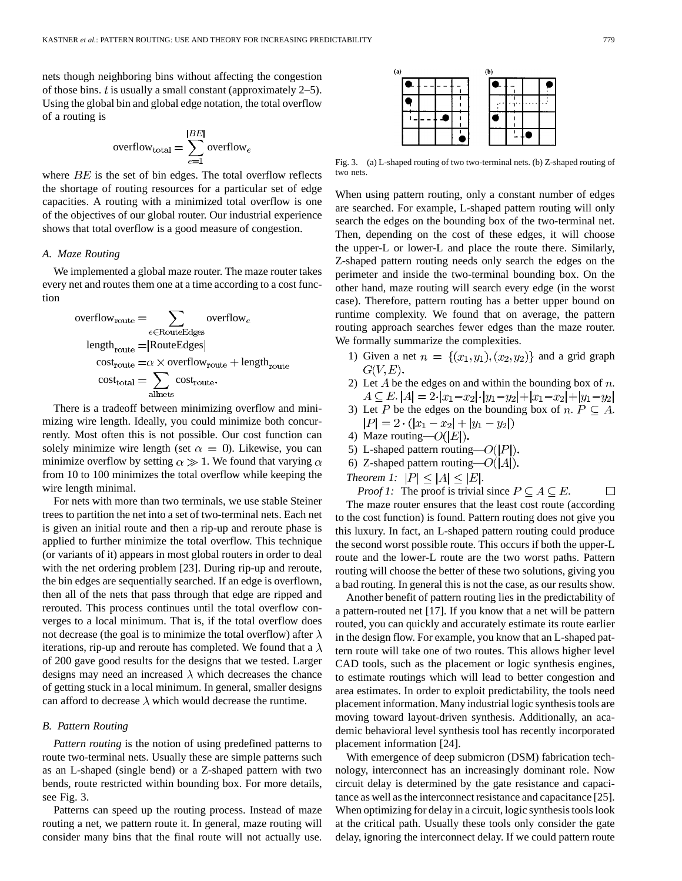nets though neighboring bins without affecting the congestion of those bins.  $t$  is usually a small constant (approximately 2–5). Using the global bin and global edge notation, the total overflow of a routing is

$$
\text{overflow}_{\text{total}} = \sum_{e=1}^{|BE|} \text{overflow}_e
$$

where  $BE$  is the set of bin edges. The total overflow reflects the shortage of routing resources for a particular set of edge capacities. A routing with a minimized total overflow is one of the objectives of our global router. Our industrial experience shows that total overflow is a good measure of congestion.

# *A. Maze Routing*

We implemented a global maze router. The maze router takes every net and routes them one at a time according to a cost function

$$
overflowroute = \sum_{e \in RouteEdges}
$$
  
\n
$$
lengthroute = |RouteEdges|
$$
  
\n
$$
costroute = \alpha \times overflowroute + lengthroute
$$
  
\n
$$
costtotal = \sum_{allnets}
$$
  
\n
$$
costrotate
$$

There is a tradeoff between minimizing overflow and minimizing wire length. Ideally, you could minimize both concurrently. Most often this is not possible. Our cost function can solely minimize wire length (set  $\alpha = 0$ ). Likewise, you can minimize overflow by setting  $\alpha \gg 1$ . We found that varying  $\alpha$ from 10 to 100 minimizes the total overflow while keeping the wire length minimal.

For nets with more than two terminals, we use stable Steiner trees to partition the net into a set of two-terminal nets. Each net is given an initial route and then a rip-up and reroute phase is applied to further minimize the total overflow. This technique (or variants of it) appears in most global routers in order to deal with the net ordering problem [23]. During rip-up and reroute, the bin edges are sequentially searched. If an edge is overflown, then all of the nets that pass through that edge are ripped and rerouted. This process continues until the total overflow converges to a local minimum. That is, if the total overflow does not decrease (the goal is to minimize the total overflow) after  $\lambda$ iterations, rip-up and reroute has completed. We found that a  $\lambda$ of 200 gave good results for the designs that we tested. Larger designs may need an increased  $\lambda$  which decreases the chance of getting stuck in a local minimum. In general, smaller designs can afford to decrease  $\lambda$  which would decrease the runtime.

# *B. Pattern Routing*

*Pattern routing* is the notion of using predefined patterns to route two-terminal nets. Usually these are simple patterns such as an L-shaped (single bend) or a Z-shaped pattern with two bends, route restricted within bounding box. For more details, see Fig. 3.

Patterns can speed up the routing process. Instead of maze routing a net, we pattern route it. In general, maze routing will consider many bins that the final route will not actually use.

| (a) |  |  | (b) |  |  |
|-----|--|--|-----|--|--|
|     |  |  |     |  |  |
|     |  |  |     |  |  |
|     |  |  |     |  |  |
|     |  |  |     |  |  |

Fig. 3. (a) L-shaped routing of two two-terminal nets. (b) Z-shaped routing of two nets.

When using pattern routing, only a constant number of edges are searched. For example, L-shaped pattern routing will only search the edges on the bounding box of the two-terminal net. Then, depending on the cost of these edges, it will choose the upper-L or lower-L and place the route there. Similarly, Z-shaped pattern routing needs only search the edges on the perimeter and inside the two-terminal bounding box. On the other hand, maze routing will search every edge (in the worst case). Therefore, pattern routing has a better upper bound on runtime complexity. We found that on average, the pattern routing approach searches fewer edges than the maze router. We formally summarize the complexities.

- 1) Given a net  $n = \{(x_1, y_1), (x_2, y_2)\}\$ and a grid graph  $G(V,E)$ .
- 2) Let A be the edges on and within the bounding box of  $n$ .  $A \subseteq E$ .  $|A| = 2 \cdot |x_1 - x_2| \cdot |y_1 - y_2| + |x_1 - x_2| + |y_1 - y_2|$
- 3) Let P be the edges on the bounding box of  $n. P \subseteq A$ .  $|P| = 2 \cdot (|x_1 - x_2| + |y_1 - y_2|)$
- 4) Maze routing— $O(|E|)$ .
- 5) L-shaped pattern routing— $O(|P|)$ .
- 6) Z-shaped pattern routing— $O(|A|)$ .
- *Theorem 1:*  $|P| \leq |A| \leq |E|$ .

*Proof 1:* The proof is trivial since  $P \subseteq A \subseteq E$ .  $\Box$ The maze router ensures that the least cost route (according to the cost function) is found. Pattern routing does not give you this luxury. In fact, an L-shaped pattern routing could produce the second worst possible route. This occurs if both the upper-L route and the lower-L route are the two worst paths. Pattern routing will choose the better of these two solutions, giving you a bad routing. In general this is not the case, as our results show.

Another benefit of pattern routing lies in the predictability of a pattern-routed net [17]. If you know that a net will be pattern routed, you can quickly and accurately estimate its route earlier in the design flow. For example, you know that an L-shaped pattern route will take one of two routes. This allows higher level CAD tools, such as the placement or logic synthesis engines, to estimate routings which will lead to better congestion and area estimates. In order to exploit predictability, the tools need placement information. Many industrial logic synthesis tools are moving toward layout-driven synthesis. Additionally, an academic behavioral level synthesis tool has recently incorporated placement information [24].

With emergence of deep submicron (DSM) fabrication technology, interconnect has an increasingly dominant role. Now circuit delay is determined by the gate resistance and capacitance as well as the interconnect resistance and capacitance [25]. When optimizing for delay in a circuit, logic synthesis tools look at the critical path. Usually these tools only consider the gate delay, ignoring the interconnect delay. If we could pattern route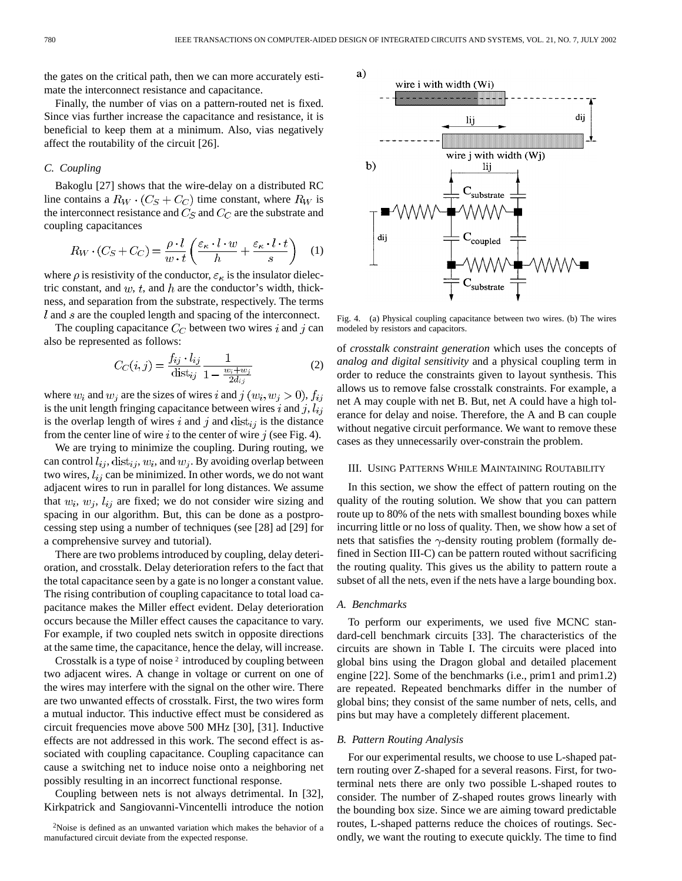the gates on the critical path, then we can more accurately estimate the interconnect resistance and capacitance.

Finally, the number of vias on a pattern-routed net is fixed. Since vias further increase the capacitance and resistance, it is beneficial to keep them at a minimum. Also, vias negatively affect the routability of the circuit [26].

### *C. Coupling*

Bakoglu [27] shows that the wire-delay on a distributed RC line contains a  $R_W \cdot (C_S + C_C)$  time constant, where  $R_W$  is the interconnect resistance and  $C_S$  and  $C_C$  are the substrate and coupling capacitances

$$
R_W \cdot (C_S + C_C) = \frac{\rho \cdot l}{w \cdot t} \left( \frac{\varepsilon_\kappa \cdot l \cdot w}{h} + \frac{\varepsilon_\kappa \cdot l \cdot t}{s} \right) \tag{1}
$$

where  $\rho$  is resistivity of the conductor,  $\varepsilon_{\kappa}$  is the insulator dielectric constant, and  $w$ ,  $t$ , and  $h$  are the conductor's width, thickness, and separation from the substrate, respectively. The terms  $l$  and  $s$  are the coupled length and spacing of the interconnect.

The coupling capacitance  $C_C$  between two wires i and j can also be represented as follows:

$$
C_C(i,j) = \frac{f_{ij} \cdot l_{ij}}{\text{dist}_{ij}} \frac{1}{1 - \frac{w_i + w_j}{2d_{ij}}} \tag{2}
$$

where  $w_i$  and  $w_j$  are the sizes of wires i and  $j(w_i, w_j > 0)$ ,  $f_{ij}$ is the unit length fringing capacitance between wires i and j,  $l_{ij}$ is the overlap length of wires i and j and  $dist_{ij}$  is the distance from the center line of wire  $i$  to the center of wire  $j$  (see Fig. 4).

We are trying to minimize the coupling. During routing, we can control  $l_{ij}$ , dist<sub>ij</sub>,  $w_i$ , and  $w_j$ . By avoiding overlap between two wires,  $l_{ij}$  can be minimized. In other words, we do not want adjacent wires to run in parallel for long distances. We assume that  $w_i$ ,  $w_j$ ,  $l_{ij}$  are fixed; we do not consider wire sizing and spacing in our algorithm. But, this can be done as a postprocessing step using a number of techniques (see [28] ad [29] for a comprehensive survey and tutorial).

There are two problems introduced by coupling, delay deterioration, and crosstalk. Delay deterioration refers to the fact that the total capacitance seen by a gate is no longer a constant value. The rising contribution of coupling capacitance to total load capacitance makes the Miller effect evident. Delay deterioration occurs because the Miller effect causes the capacitance to vary. For example, if two coupled nets switch in opposite directions at the same time, the capacitance, hence the delay, will increase.

Crosstalk is a type of noise <sup>2</sup> introduced by coupling between two adjacent wires. A change in voltage or current on one of the wires may interfere with the signal on the other wire. There are two unwanted effects of crosstalk. First, the two wires form a mutual inductor. This inductive effect must be considered as circuit frequencies move above 500 MHz [30], [31]. Inductive effects are not addressed in this work. The second effect is associated with coupling capacitance. Coupling capacitance can cause a switching net to induce noise onto a neighboring net possibly resulting in an incorrect functional response.

Coupling between nets is not always detrimental. In [32], Kirkpatrick and Sangiovanni-Vincentelli introduce the notion



Fig. 4. (a) Physical coupling capacitance between two wires. (b) The wires modeled by resistors and capacitors.

of *crosstalk constraint generation* which uses the concepts of *analog and digital sensitivity* and a physical coupling term in order to reduce the constraints given to layout synthesis. This allows us to remove false crosstalk constraints. For example, a net A may couple with net B. But, net A could have a high tolerance for delay and noise. Therefore, the A and B can couple without negative circuit performance. We want to remove these cases as they unnecessarily over-constrain the problem.

#### III. USING PATTERNS WHILE MAINTAINING ROUTABILITY

In this section, we show the effect of pattern routing on the quality of the routing solution. We show that you can pattern route up to 80% of the nets with smallest bounding boxes while incurring little or no loss of quality. Then, we show how a set of nets that satisfies the  $\gamma$ -density routing problem (formally defined in Section III-C) can be pattern routed without sacrificing the routing quality. This gives us the ability to pattern route a subset of all the nets, even if the nets have a large bounding box.

# *A. Benchmarks*

To perform our experiments, we used five MCNC standard-cell benchmark circuits [33]. The characteristics of the circuits are shown in Table I. The circuits were placed into global bins using the Dragon global and detailed placement engine [22]. Some of the benchmarks (i.e., prim1 and prim1.2) are repeated. Repeated benchmarks differ in the number of global bins; they consist of the same number of nets, cells, and pins but may have a completely different placement.

# *B. Pattern Routing Analysis*

For our experimental results, we choose to use L-shaped pattern routing over Z-shaped for a several reasons. First, for twoterminal nets there are only two possible L-shaped routes to consider. The number of Z-shaped routes grows linearly with the bounding box size. Since we are aiming toward predictable routes, L-shaped patterns reduce the choices of routings. Secondly, we want the routing to execute quickly. The time to find

<sup>2</sup>Noise is defined as an unwanted variation which makes the behavior of a manufactured circuit deviate from the expected response.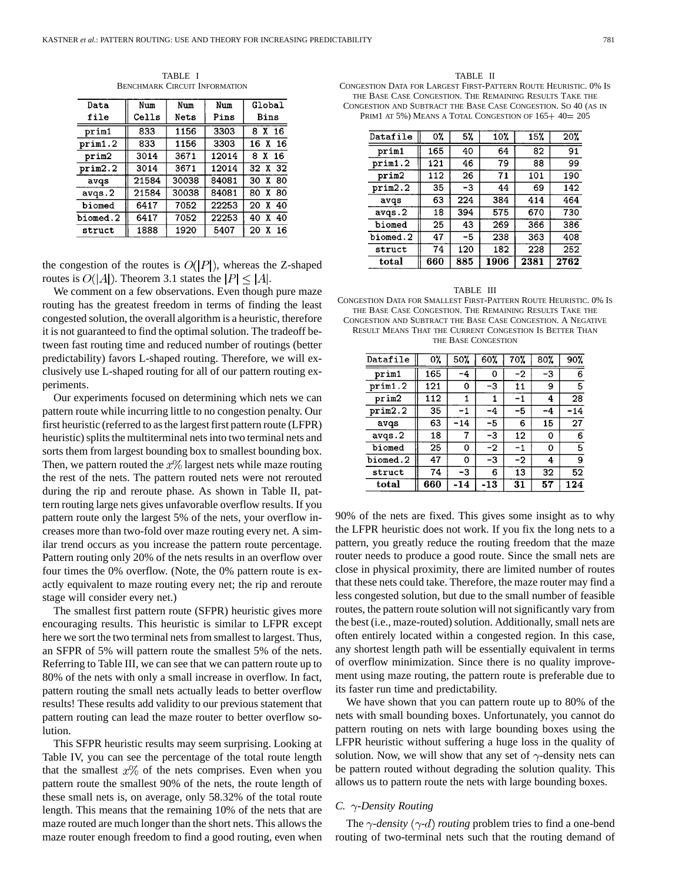TABLE I BENCHMARK CIRCUIT INFORMATION

| Data     | Num   | Num   | Num   | Global        |  |  |
|----------|-------|-------|-------|---------------|--|--|
| file     | Cells | Nets  | Pins  | Bins          |  |  |
| prim1    | 833   | 1156  | 3303  | 8 X 16        |  |  |
| prim1.2  | 833   | 1156  | 3303  | 16 X 16       |  |  |
| prim2    | 3014  | 3671  | 12014 | 8 X 16        |  |  |
| prim2.2  | 3014  | 3671  | 12014 | 32 X 32       |  |  |
| avqs     | 21584 | 30038 | 84081 | 30 X 80       |  |  |
| avqs.2   | 21584 | 30038 | 84081 | 80 X 80       |  |  |
| biomed   | 6417  | 7052  | 22253 | $X$ 40<br>20  |  |  |
| biomed.2 | 6417  | 7052  | 22253 | 40 X 40       |  |  |
| struct   | 1888  | 1920  | 5407  | 20<br>X<br>16 |  |  |

the congestion of the routes is  $O(|P|)$ , whereas the Z-shaped routes is  $O(|A|)$ . Theorem 3.1 states the  $|P| \leq |A|$ .

We comment on a few observations. Even though pure maze routing has the greatest freedom in terms of finding the least congested solution, the overall algorithm is a heuristic, therefore it is not guaranteed to find the optimal solution. The tradeoff between fast routing time and reduced number of routings (better predictability) favors L-shaped routing. Therefore, we will exclusively use L-shaped routing for all of our pattern routing experiments.

Our experiments focused on determining which nets we can pattern route while incurring little to no congestion penalty. Our first heuristic (referred to as the largest first pattern route (LFPR) heuristic) splits the multiterminal nets into two terminal nets and sorts them from largest bounding box to smallest bounding box. Then, we pattern routed the  $x\%$  largest nets while maze routing the rest of the nets. The pattern routed nets were not rerouted during the rip and reroute phase. As shown in Table II, pattern routing large nets gives unfavorable overflow results. If you pattern route only the largest 5% of the nets, your overflow increases more than two-fold over maze routing every net. A similar trend occurs as you increase the pattern route percentage. Pattern routing only 20% of the nets results in an overflow over four times the 0% overflow. (Note, the 0% pattern route is exactly equivalent to maze routing every net; the rip and reroute stage will consider every net.)

The smallest first pattern route (SFPR) heuristic gives more encouraging results. This heuristic is similar to LFPR except here we sort the two terminal nets from smallest to largest. Thus, an SFPR of 5% will pattern route the smallest 5% of the nets. Referring to Table III, we can see that we can pattern route up to 80% of the nets with only a small increase in overflow. In fact, pattern routing the small nets actually leads to better overflow results! These results add validity to our previous statement that pattern routing can lead the maze router to better overflow solution.

This SFPR heuristic results may seem surprising. Looking at Table IV, you can see the percentage of the total route length that the smallest  $x\%$  of the nets comprises. Even when you pattern route the smallest 90% of the nets, the route length of these small nets is, on average, only 58.32% of the total route length. This means that the remaining 10% of the nets that are maze routed are much longer than the short nets. This allows the maze router enough freedom to find a good routing, even when

TABLE II CONGESTION DATA FOR LARGEST FIRST-PATTERN ROUTE HEURISTIC. 0% IS THE BASE CASE CONGESTION. THE REMAINING RESULTS TAKE THE CONGESTION AND SUBTRACT THE BASE CASE CONGESTION. SO 40 (AS IN PRIM1 AT 5%) MEANS A TOTAL CONGESTION OF  $165+40=205$ 

| Datafile | 0%  | 5%  | 10%  | 15%  | 20%  |
|----------|-----|-----|------|------|------|
| prim1    | 165 | 40  | 64   | 82   | 91   |
| prim1.2  | 121 | 46  | 79   | 88   | 99   |
| prim2    | 112 | 26  | 71   | 101  | 190  |
| prim2.2  | 35  | -3  | 44   | 69   | 142  |
| avqs     | 63  | 224 | 384  | 414  | 464  |
| avgs.2   | 18  | 394 | 575  | 670  | 730  |
| biomed   | 25  | 43  | 269  | 366  | 386  |
| biomed.2 | 47  | -5  | 238  | 363  | 408  |
| struct   | 74  | 120 | 182  | 228  | 252  |
| total    | 660 | 885 | 1906 | 2381 | 2762 |

#### TABLE III

CONGESTION DATA FOR SMALLEST FIRST-PATTERN ROUTE HEURISTIC. 0% IS THE BASE CASE CONGESTION. THE REMAINING RESULTS TAKE THE CONGESTION AND SUBTRACT THE BASE CASE CONGESTION. A NEGATIVE RESULT MEANS THAT THE CURRENT CONGESTION IS BETTER THAN

THE BASE CONGESTION

| Datafile | 0%  | 50%   | 60% | 70% | 80% | 90%   |
|----------|-----|-------|-----|-----|-----|-------|
| prim1    | 165 | -4    | 0   | -2  | -3  | 6     |
| prim1.2  | 121 | o     | -3  | 11  | 9   | 5     |
| prim2    | 112 | 1     |     | -1  | 4   | 28    |
| prim2.2  | 35  | -1    | -4  | -5  | -4  | $-14$ |
| avqs     | 63  | $-14$ | -5  | 6   | 15  | 27    |
| avgs.2   | 18  |       | -3  | 12  | 0   | 6     |
| biomed   | 25  | 0     | -2  | -1  | 0   | 5     |
| biomed.2 | 47  | o     | -3  | -2  | 4   | 9     |
| struct   | 74  | -3    | 6   | 13  | 32  | 52    |
| total    | 660 | -14   | -13 | 31  | 57  | 124   |

90% of the nets are fixed. This gives some insight as to why the LFPR heuristic does not work. If you fix the long nets to a pattern, you greatly reduce the routing freedom that the maze router needs to produce a good route. Since the small nets are close in physical proximity, there are limited number of routes that these nets could take. Therefore, the maze router may find a less congested solution, but due to the small number of feasible routes, the pattern route solution will not significantly vary from the best (i.e., maze-routed) solution. Additionally, small nets are often entirely located within a congested region. In this case, any shortest length path will be essentially equivalent in terms of overflow minimization. Since there is no quality improvement using maze routing, the pattern route is preferable due to its faster run time and predictability.

We have shown that you can pattern route up to 80% of the nets with small bounding boxes. Unfortunately, you cannot do pattern routing on nets with large bounding boxes using the LFPR heuristic without suffering a huge loss in the quality of solution. Now, we will show that any set of  $\gamma$ -density nets can be pattern routed without degrading the solution quality. This allows us to pattern route the nets with large bounding boxes.

# *C. -Density Routing*

The  $\gamma$ -density ( $\gamma$ -d) routing problem tries to find a one-bend routing of two-terminal nets such that the routing demand of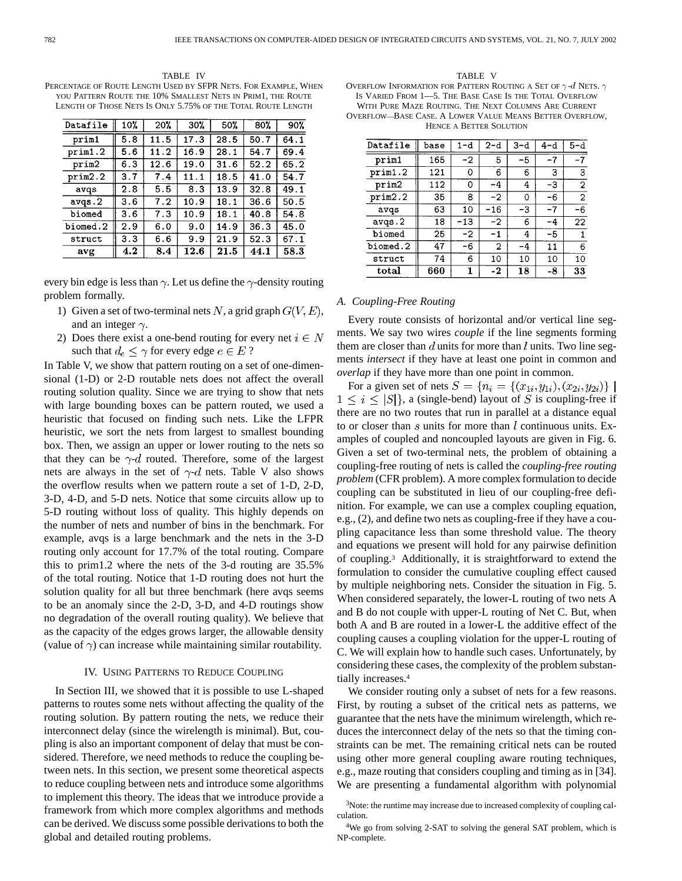TABLE IV PERCENTAGE OF ROUTE LENGTH USED BY SFPR NETS. FOR EXAMPLE, WHEN YOU PATTERN ROUTE THE 10% SMALLEST NETS IN PRIM1, THE ROUTE LENGTH OF THOSE NETS IS ONLY 5.75% OF THE TOTAL ROUTE LENGTH

| Datafile | 10% | 20%  | 30%  | 50%  | 80%  | 90%  |
|----------|-----|------|------|------|------|------|
| prim1    | 5.8 | 11.5 | 17.3 | 28.5 | 50.7 | 64.1 |
| prim1.2  | 5.6 | 11.2 | 16.9 | 28.1 | 54.7 | 69.4 |
| prim2    | 6.3 | 12.6 | 19.0 | 31.6 | 52.2 | 65.2 |
| prim2.2  | 3.7 | 7.4  | 11.1 | 18.5 | 41.0 | 54.7 |
| avqs     | 2.8 | 5.5  | 8.3  | 13.9 | 32.8 | 49.1 |
| avgs.2   | 3.6 | 7.2  | 10.9 | 18.1 | 36.6 | 50.5 |
| biomed   | 3.6 | 7.3  | 10.9 | 18.1 | 40.8 | 54.8 |
| biomed.2 | 2.9 | 6.0  | 9.0  | 14.9 | 36.3 | 45.0 |
| struct   | 3.3 | 6.6  | 9.9  | 21.9 | 52.3 | 67.1 |
| avg      | 4.2 | 8.4  | 12.6 | 21.5 | 44.1 | 58.3 |

every bin edge is less than  $\gamma$ . Let us define the  $\gamma$ -density routing problem formally.

- 1) Given a set of two-terminal nets N, a grid graph  $G(V, E)$ , and an integer  $\gamma$ .
- 2) Does there exist a one-bend routing for every net  $i \in N$ such that  $d_e \leq \gamma$  for every edge  $e \in E$ ?

In Table V, we show that pattern routing on a set of one-dimensional (1-D) or 2-D routable nets does not affect the overall routing solution quality. Since we are trying to show that nets with large bounding boxes can be pattern routed, we used a heuristic that focused on finding such nets. Like the LFPR heuristic, we sort the nets from largest to smallest bounding box. Then, we assign an upper or lower routing to the nets so that they can be  $\gamma$ -d routed. Therefore, some of the largest nets are always in the set of  $\gamma$ -d nets. Table V also shows the overflow results when we pattern route a set of 1-D, 2-D, 3-D, 4-D, and 5-D nets. Notice that some circuits allow up to 5-D routing without loss of quality. This highly depends on the number of nets and number of bins in the benchmark. For example, avqs is a large benchmark and the nets in the 3-D routing only account for 17.7% of the total routing. Compare this to prim1.2 where the nets of the 3-d routing are 35.5% of the total routing. Notice that 1-D routing does not hurt the solution quality for all but three benchmark (here avqs seems to be an anomaly since the 2-D, 3-D, and 4-D routings show no degradation of the overall routing quality). We believe that as the capacity of the edges grows larger, the allowable density (value of  $\gamma$ ) can increase while maintaining similar routability.

# IV. USING PATTERNS TO REDUCE COUPLING

In Section III, we showed that it is possible to use L-shaped patterns to routes some nets without affecting the quality of the routing solution. By pattern routing the nets, we reduce their interconnect delay (since the wirelength is minimal). But, coupling is also an important component of delay that must be considered. Therefore, we need methods to reduce the coupling between nets. In this section, we present some theoretical aspects to reduce coupling between nets and introduce some algorithms to implement this theory. The ideas that we introduce provide a framework from which more complex algorithms and methods can be derived. We discuss some possible derivations to both the global and detailed routing problems.

TABLE V OVERFLOW INFORMATION FOR PATTERN ROUTING A SET OF  $\gamma$  -d NETS.  $\gamma$ IS VARIED FROM 1—5. THE BASE CASE IS THE TOTAL OVERFLOW WITH PURE MAZE ROUTING. THE NEXT COLUMNS ARE CURRENT OVERFLOW—BASE CASE.ALOWER VALUE MEANS BETTER OVERFLOW, HENCE A BETTER SOLUTION

| Datafile | base | 1-d  | $2-d$ | $3-d$ | 4-d  | 5-d            |
|----------|------|------|-------|-------|------|----------------|
| prim1    | 165  | $-2$ | 5     | -5    | $-7$ | $-7$           |
| prim1.2  | 121  | 0    | 6     | 6     | 3    | $\mathbf{3}$   |
| prim2    | 112  | 0    | -4    | 4     | -3   | $\overline{2}$ |
| prim2.2  | 35   | 8    | $-2$  | 0     | -6   | $\overline{2}$ |
| avqs     | 63   | 10   | $-16$ | -3    | -7   | -6             |
| avgs.2   | 18   | -13  | -2    | 6     | -4   | 22             |
| biomed   | 25   | $-2$ | -1    | 4     | -5   |                |
| biomed.2 | 47   | -6   | 2     | -4    | 11   | 6              |
| struct   | 74   | 6    | 10    | 10    | 10   | 10             |
| total    | 660  | 1    | -2    | 18    | -8   | 33             |

#### *A. Coupling-Free Routing*

Every route consists of horizontal and/or vertical line segments. We say two wires *couple* if the line segments forming them are closer than  $d$  units for more than  $l$  units. Two line segments *intersect* if they have at least one point in common and *overlap* if they have more than one point in common.

For a given set of nets  $S = \{n_i = \{(x_{1i}, y_{1i}), (x_{2i}, y_{2i})\}\}\$  $1 \leq i \leq |S|$ , a (single-bend) layout of S is coupling-free if there are no two routes that run in parallel at a distance equal to or closer than s units for more than  $l$  continuous units. Examples of coupled and noncoupled layouts are given in Fig. 6. Given a set of two-terminal nets, the problem of obtaining a coupling-free routing of nets is called the *coupling-free routing problem* (CFR problem). A more complex formulation to decide coupling can be substituted in lieu of our coupling-free definition. For example, we can use a complex coupling equation, e.g., (2), and define two nets as coupling-free if they have a coupling capacitance less than some threshold value. The theory and equations we present will hold for any pairwise definition of coupling.3 Additionally, it is straightforward to extend the formulation to consider the cumulative coupling effect caused by multiple neighboring nets. Consider the situation in Fig. 5. When considered separately, the lower-L routing of two nets A and B do not couple with upper-L routing of Net C. But, when both A and B are routed in a lower-L the additive effect of the coupling causes a coupling violation for the upper-L routing of C. We will explain how to handle such cases. Unfortunately, by considering these cases, the complexity of the problem substantially increases.4

We consider routing only a subset of nets for a few reasons. First, by routing a subset of the critical nets as patterns, we guarantee that the nets have the minimum wirelength, which reduces the interconnect delay of the nets so that the timing constraints can be met. The remaining critical nets can be routed using other more general coupling aware routing techniques, e.g., maze routing that considers coupling and timing as in [34]. We are presenting a fundamental algorithm with polynomial

<sup>3</sup>Note: the runtime may increase due to increased complexity of coupling calculation.

<sup>4</sup>We go from solving 2-SAT to solving the general SAT problem, which is NP-complete.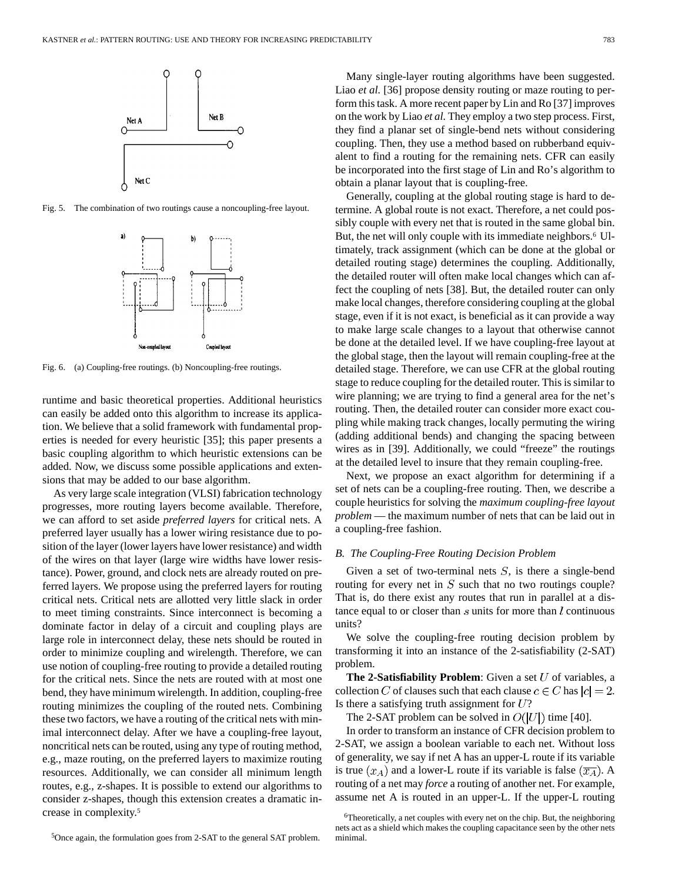

Fig. 5. The combination of two routings cause a noncoupling-free layout.



Fig. 6. (a) Coupling-free routings. (b) Noncoupling-free routings.

runtime and basic theoretical properties. Additional heuristics can easily be added onto this algorithm to increase its application. We believe that a solid framework with fundamental properties is needed for every heuristic [35]; this paper presents a basic coupling algorithm to which heuristic extensions can be added. Now, we discuss some possible applications and extensions that may be added to our base algorithm.

As very large scale integration (VLSI) fabrication technology progresses, more routing layers become available. Therefore, we can afford to set aside *preferred layers* for critical nets. A preferred layer usually has a lower wiring resistance due to position of the layer (lower layers have lower resistance) and width of the wires on that layer (large wire widths have lower resistance). Power, ground, and clock nets are already routed on preferred layers. We propose using the preferred layers for routing critical nets. Critical nets are allotted very little slack in order to meet timing constraints. Since interconnect is becoming a dominate factor in delay of a circuit and coupling plays are large role in interconnect delay, these nets should be routed in order to minimize coupling and wirelength. Therefore, we can use notion of coupling-free routing to provide a detailed routing for the critical nets. Since the nets are routed with at most one bend, they have minimum wirelength. In addition, coupling-free routing minimizes the coupling of the routed nets. Combining these two factors, we have a routing of the critical nets with minimal interconnect delay. After we have a coupling-free layout, noncritical nets can be routed, using any type of routing method, e.g., maze routing, on the preferred layers to maximize routing resources. Additionally, we can consider all minimum length routes, e.g., z-shapes. It is possible to extend our algorithms to consider z-shapes, though this extension creates a dramatic increase in complexity.5

Many single-layer routing algorithms have been suggested. Liao *et al.* [36] propose density routing or maze routing to perform this task. A more recent paper by Lin and Ro [37] improves on the work by Liao *et al.* They employ a two step process. First, they find a planar set of single-bend nets without considering coupling. Then, they use a method based on rubberband equivalent to find a routing for the remaining nets. CFR can easily be incorporated into the first stage of Lin and Ro's algorithm to obtain a planar layout that is coupling-free.

Generally, coupling at the global routing stage is hard to determine. A global route is not exact. Therefore, a net could possibly couple with every net that is routed in the same global bin. But, the net will only couple with its immediate neighbors.<sup>6</sup> Ultimately, track assignment (which can be done at the global or detailed routing stage) determines the coupling. Additionally, the detailed router will often make local changes which can affect the coupling of nets [38]. But, the detailed router can only make local changes, therefore considering coupling at the global stage, even if it is not exact, is beneficial as it can provide a way to make large scale changes to a layout that otherwise cannot be done at the detailed level. If we have coupling-free layout at the global stage, then the layout will remain coupling-free at the detailed stage. Therefore, we can use CFR at the global routing stage to reduce coupling for the detailed router. This is similar to wire planning; we are trying to find a general area for the net's routing. Then, the detailed router can consider more exact coupling while making track changes, locally permuting the wiring (adding additional bends) and changing the spacing between wires as in [39]. Additionally, we could "freeze" the routings at the detailed level to insure that they remain coupling-free.

Next, we propose an exact algorithm for determining if a set of nets can be a coupling-free routing. Then, we describe a couple heuristics for solving the *maximum coupling-free layout problem* — the maximum number of nets that can be laid out in a coupling-free fashion.

# *B. The Coupling-Free Routing Decision Problem*

Given a set of two-terminal nets  $S$ , is there a single-bend routing for every net in  $S$  such that no two routings couple? That is, do there exist any routes that run in parallel at a distance equal to or closer than  $s$  units for more than  $l$  continuous units?

We solve the coupling-free routing decision problem by transforming it into an instance of the 2-satisfiability (2-SAT) problem.

**The 2-Satisfiability Problem:** Given a set  $U$  of variables, a collection C of clauses such that each clause  $c \in C$  has  $|c| = 2$ . Is there a satisfying truth assignment for  $U$ ?

The 2-SAT problem can be solved in  $O(|U|)$  time [40].

In order to transform an instance of CFR decision problem to 2-SAT, we assign a boolean variable to each net. Without loss of generality, we say if net A has an upper-L route if its variable is true  $(x_A)$  and a lower-L route if its variable is false  $(\overline{x_A})$ . A routing of a net may *force* a routing of another net. For example, assume net A is routed in an upper-L. If the upper-L routing

<sup>6</sup>Theoretically, a net couples with every net on the chip. But, the neighboring nets act as a shield which makes the coupling capacitance seen by the other nets minimal.

<sup>5</sup>Once again, the formulation goes from 2-SAT to the general SAT problem.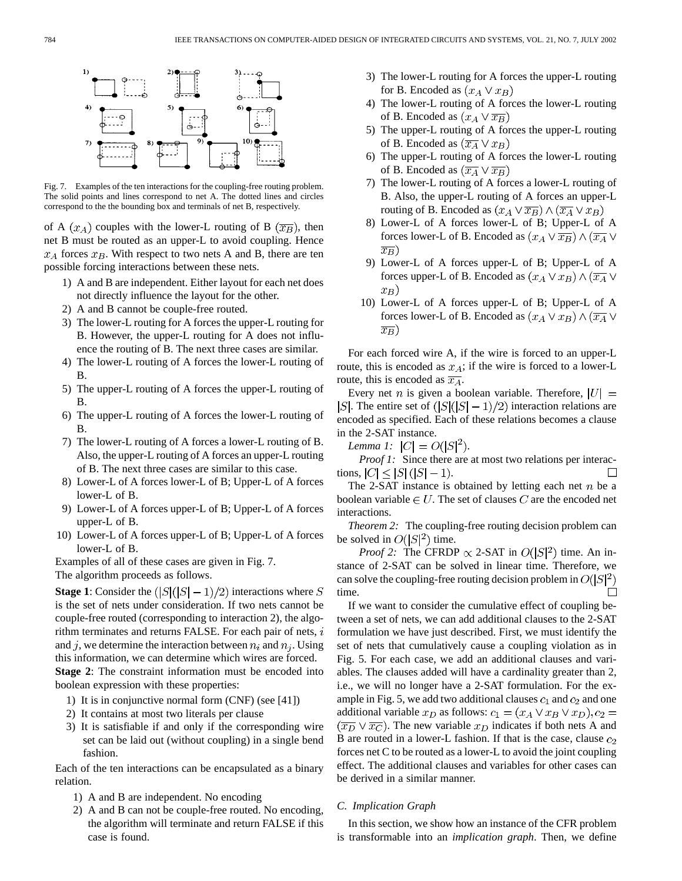

Fig. 7. Examples of the ten interactions for the coupling-free routing problem. The solid points and lines correspond to net A. The dotted lines and circles correspond to the the bounding box and terminals of net B, respectively.

of A  $(x_A)$  couples with the lower-L routing of B  $(\overline{x_B})$ , then net B must be routed as an upper-L to avoid coupling. Hence  $x_A$  forces  $x_B$ . With respect to two nets A and B, there are ten possible forcing interactions between these nets.

- 1) A and B are independent. Either layout for each net does not directly influence the layout for the other.
- 2) A and B cannot be couple-free routed.
- 3) The lower-L routing for A forces the upper-L routing for B. However, the upper-L routing for A does not influence the routing of B. The next three cases are similar.
- 4) The lower-L routing of A forces the lower-L routing of B.
- 5) The upper-L routing of A forces the upper-L routing of B.
- 6) The upper-L routing of A forces the lower-L routing of B.
- 7) The lower-L routing of A forces a lower-L routing of B. Also, the upper-L routing of A forces an upper-L routing of B. The next three cases are similar to this case.
- 8) Lower-L of A forces lower-L of B; Upper-L of A forces lower-L of B.
- 9) Lower-L of A forces upper-L of B; Upper-L of A forces upper-L of B.
- 10) Lower-L of A forces upper-L of B; Upper-L of A forces lower-L of B.

Examples of all of these cases are given in Fig. 7. The algorithm proceeds as follows.

**Stage 1**: Consider the  $(|S|(|S|-1)/2)$  interactions where S is the set of nets under consideration. If two nets cannot be couple-free routed (corresponding to interaction 2), the algorithm terminates and returns FALSE. For each pair of nets,  $i$ and j, we determine the interaction between  $n_i$  and  $n_j$ . Using this information, we can determine which wires are forced. **Stage 2**: The constraint information must be encoded into boolean expression with these properties:

- 1) It is in conjunctive normal form (CNF) (see [41])
- 2) It contains at most two literals per clause
- 3) It is satisfiable if and only if the corresponding wire set can be laid out (without coupling) in a single bend fashion.

Each of the ten interactions can be encapsulated as a binary relation.

- 1) A and B are independent. No encoding
- 2) A and B can not be couple-free routed. No encoding, the algorithm will terminate and return FALSE if this case is found.
- 3) The lower-L routing for A forces the upper-L routing for B. Encoded as  $(x_A \vee x_B)$
- 4) The lower-L routing of A forces the lower-L routing of B. Encoded as  $(x_A \vee \overline{x_B})$
- 5) The upper-L routing of A forces the upper-L routing of B. Encoded as  $(\overline{x_A} \vee x_B)$
- 6) The upper-L routing of A forces the lower-L routing of B. Encoded as  $(\overline{x_A} \vee \overline{x_B})$
- 7) The lower-L routing of A forces a lower-L routing of B. Also, the upper-L routing of A forces an upper-L routing of B. Encoded as  $(x_A \vee \overline{x_B}) \wedge (\overline{x_A} \vee x_B)$
- 8) Lower-L of A forces lower-L of B; Upper-L of A forces lower-L of B. Encoded as  $(x_A \vee \overline{x_B}) \wedge (\overline{x_A} \vee$  $\overline{x_B})$
- 9) Lower-L of A forces upper-L of B; Upper-L of A forces upper-L of B. Encoded as  $(x_A \vee x_B) \wedge (\overline{x_A} \vee$  $x_B$ )
- 10) Lower-L of A forces upper-L of B; Upper-L of A forces lower-L of B. Encoded as  $(x_A \vee x_B) \wedge (\overline{x_A} \vee$  $\overline{x_B}$ )

For each forced wire A, if the wire is forced to an upper-L route, this is encoded as  $x_A$ ; if the wire is forced to a lower-L route, this is encoded as  $\overline{x_A}$ .

Every net *n* is given a boolean variable. Therefore,  $|U| =$ |S|. The entire set of  $(|S|(|S|-1)/2)$  interaction relations are encoded as specified. Each of these relations becomes a clause in the 2-SAT instance.

*Lemma 1:*  $|C| = O(|S|^2)$ .

*Proof 1:* Since there are at most two relations per interactions,  $|C| \leq |S| (|S| - 1)$ .  $\Box$ 

The 2-SAT instance is obtained by letting each net  $n$  be a boolean variable  $\in U$ . The set of clauses C are the encoded net interactions.

*Theorem 2:* The coupling-free routing decision problem can be solved in  $O(|S|^2)$  time.

*Proof 2:* The CFRDP  $\propto$  2-SAT in  $O(|S|^2)$  time. An instance of 2-SAT can be solved in linear time. Therefore, we can solve the coupling-free routing decision problem in  $O(|S|^2)$ time.  $\Box$ 

If we want to consider the cumulative effect of coupling between a set of nets, we can add additional clauses to the 2-SAT formulation we have just described. First, we must identify the set of nets that cumulatively cause a coupling violation as in Fig. 5. For each case, we add an additional clauses and variables. The clauses added will have a cardinality greater than 2, i.e., we will no longer have a 2-SAT formulation. For the example in Fig. 5, we add two additional clauses  $c_1$  and  $c_2$  and one additional variable  $x_D$  as follows:  $c_1 = (x_A \vee x_B \vee x_D), c_2 =$  $(\overline{x_D} \vee \overline{x_C})$ . The new variable  $x_D$  indicates if both nets A and B are routed in a lower-L fashion. If that is the case, clause  $c_2$ forces net C to be routed as a lower-L to avoid the joint coupling effect. The additional clauses and variables for other cases can be derived in a similar manner.

#### *C. Implication Graph*

In this section, we show how an instance of the CFR problem is transformable into an *implication graph*. Then, we define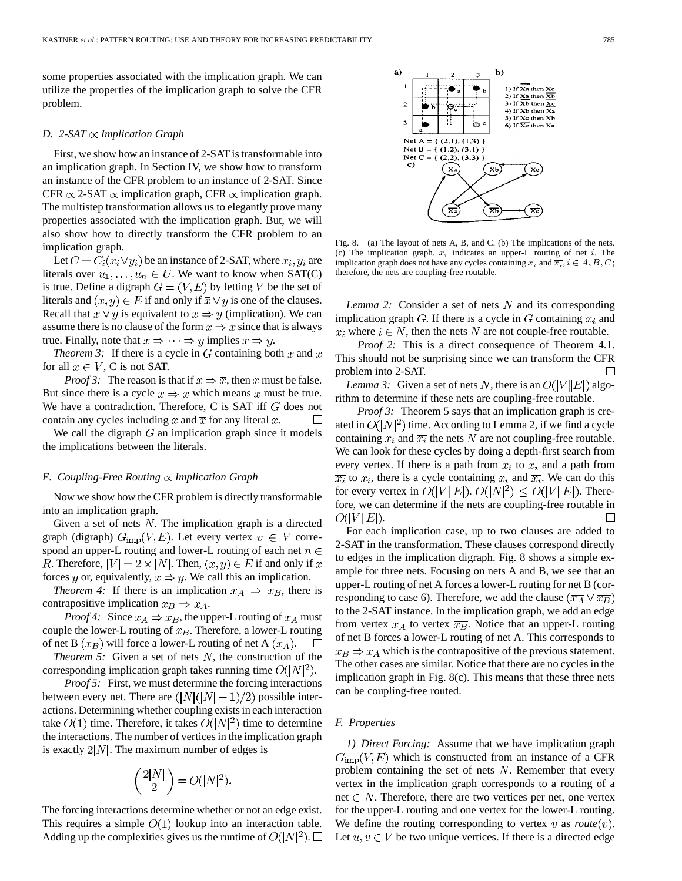some properties associated with the implication graph. We can utilize the properties of the implication graph to solve the CFR problem.

#### *D.* 2-SAT  $\propto$  *Implication Graph*

First, we show how an instance of 2-SAT is transformable into an implication graph. In Section IV, we show how to transform an instance of the CFR problem to an instance of 2-SAT. Since CFR  $\propto$  2-SAT  $\propto$  implication graph, CFR  $\propto$  implication graph. The multistep transformation allows us to elegantly prove many properties associated with the implication graph. But, we will also show how to directly transform the CFR problem to an implication graph.

Let  $C = C_i(x_i \vee y_i)$  be an instance of 2-SAT, where  $x_i, y_i$  are literals over  $u_1, \ldots, u_n \in U$ . We want to know when SAT(C) is true. Define a digraph  $G = (V, E)$  by letting V be the set of literals and  $(x, y) \in E$  if and only if  $\overline{x} \vee y$  is one of the clauses. Recall that  $\overline{x} \vee y$  is equivalent to  $x \Rightarrow y$  (implication). We can assume there is no clause of the form  $x \Rightarrow x$  since that is always true. Finally, note that  $x \Rightarrow \cdots \Rightarrow y$  implies  $x \Rightarrow y$ .

*Theorem 3:* If there is a cycle in G containing both x and  $\overline{x}$ for all  $x \in V$ , C is not SAT.

*Proof 3:* The reason is that if  $x \Rightarrow \overline{x}$ , then x must be false. But since there is a cycle  $\overline{x} \Rightarrow x$  which means x must be true. We have a contradiction. Therefore, C is SAT iff  $G$  does not contain any cycles including x and  $\overline{x}$  for any literal x.

We call the digraph  $G$  an implication graph since it models the implications between the literals.

#### *E. Coupling-Free Routing Implication Graph*

Now we show how the CFR problem is directly transformable into an implication graph.

Given a set of nets  $N$ . The implication graph is a directed graph (digraph)  $G_{\text{imp}}(V, E)$ . Let every vertex  $v \in V$  correspond an upper-L routing and lower-L routing of each net  $n \in$ R. Therefore,  $|V| = 2 \times |N|$ . Then,  $(x, y) \in E$  if and only if x forces y or, equivalently,  $x \Rightarrow y$ . We call this an implication.

*Theorem 4:* If there is an implication  $x_A \Rightarrow x_B$ , there is contrapositive implication  $\overline{x_B} \Rightarrow \overline{x_A}$ .

*Proof 4:* Since  $x_A \Rightarrow x_B$ , the upper-L routing of  $x_A$  must couple the lower-L routing of  $x_B$ . Therefore, a lower-L routing of net B  $(\overline{x_B})$  will force a lower-L routing of net A  $(\overline{x_A})$ .  $\Box$ 

*Theorem 5:* Given a set of nets  $N$ , the construction of the corresponding implication graph takes running time  $O(|N|^2)$ .

*Proof 5:* First, we must determine the forcing interactions between every net. There are  $(|N|(|N|-1)/2)$  possible interactions. Determining whether coupling exists in each interaction take  $O(1)$  time. Therefore, it takes  $O(|N|^2)$  time to determine the interactions. The number of vertices in the implication graph is exactly  $2|N|$ . The maximum number of edges is

$$
\binom{2|N|}{2} = O(|N|^2).
$$

The forcing interactions determine whether or not an edge exist. This requires a simple  $O(1)$  lookup into an interaction table. Adding up the complexities gives us the runtime of  $O(|N|^2)$ .  $\square$ 



Fig. 8. (a) The layout of nets A, B, and C. (b) The implications of the nets. (c) The implication graph.  $x_i$  indicates an upper-L routing of net i. The implication graph does not have any cycles containing  $x_i$  and  $\overline{x_i}$ ,  $i \in A, B, C$ ; therefore, the nets are coupling-free routable.

*Lemma 2:* Consider a set of nets  $N$  and its corresponding implication graph  $G$ . If there is a cycle in  $G$  containing  $x_i$  and  $\overline{x_i}$  where  $i \in N$ , then the nets N are not couple-free routable.

*Proof 2:* This is a direct consequence of Theorem 4.1. This should not be surprising since we can transform the CFR problem into 2-SAT.  $\Box$ 

*Lemma 3:* Given a set of nets N, there is an  $O(|V||E|)$  algorithm to determine if these nets are coupling-free routable.

*Proof 3:* Theorem 5 says that an implication graph is created in  $O(|N|^2)$  time. According to Lemma 2, if we find a cycle containing  $x_i$  and  $\overline{x_i}$  the nets N are not coupling-free routable. We can look for these cycles by doing a depth-first search from every vertex. If there is a path from  $x_i$  to  $\overline{x_i}$  and a path from  $\overline{x_i}$  to  $x_i$ , there is a cycle containing  $x_i$  and  $\overline{x_i}$ . We can do this for every vertex in  $O(|V||E|)$ .  $O(|N|^2) \leq O(|V||E|)$ . Therefore, we can determine if the nets are coupling-free routable in  $O(|V||E|)$ .  $\Box$ 

For each implication case, up to two clauses are added to 2-SAT in the transformation. These clauses correspond directly to edges in the implication digraph. Fig. 8 shows a simple example for three nets. Focusing on nets A and B, we see that an upper-L routing of net A forces a lower-L routing for net B (corresponding to case 6). Therefore, we add the clause  $(\overline{x_A} \vee \overline{x_B})$ to the 2-SAT instance. In the implication graph, we add an edge from vertex  $x_A$  to vertex  $\overline{x_B}$ . Notice that an upper-L routing of net B forces a lower-L routing of net A. This corresponds to  $x_B \Rightarrow \overline{x_A}$  which is the contrapositive of the previous statement. The other cases are similar. Notice that there are no cycles in the implication graph in Fig. 8(c). This means that these three nets can be coupling-free routed.

#### *F. Properties*

*1) Direct Forcing:* Assume that we have implication graph  $G<sub>imp</sub>(V, E)$  which is constructed from an instance of a CFR problem containing the set of nets  $N$ . Remember that every vertex in the implication graph corresponds to a routing of a net  $\in$  N. Therefore, there are two vertices per net, one vertex for the upper-L routing and one vertex for the lower-L routing. We define the routing corresponding to vertex  $v$  as  $route(v)$ . Let  $u, v \in V$  be two unique vertices. If there is a directed edge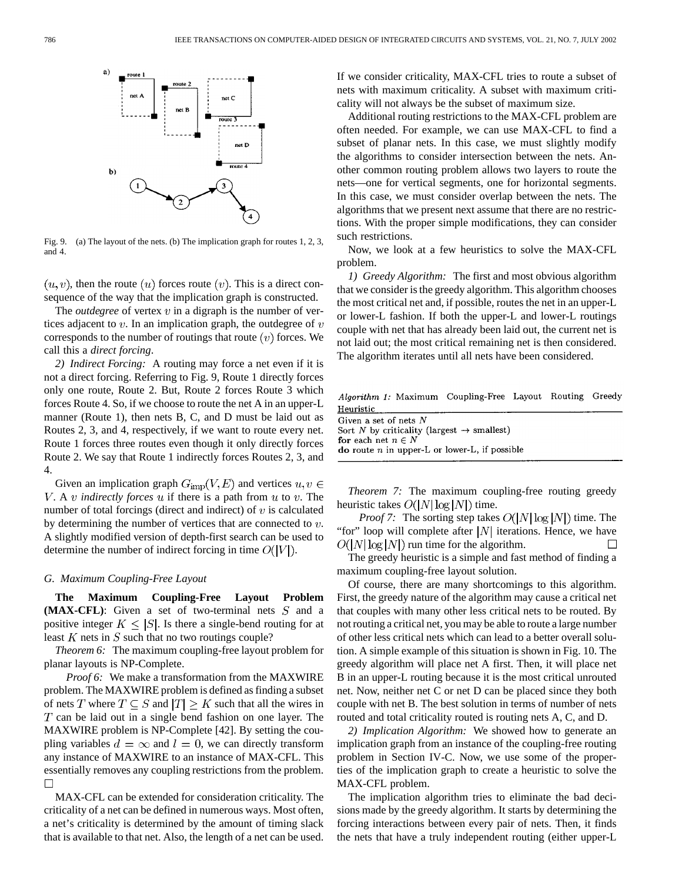

Fig. 9. (a) The layout of the nets. (b) The implication graph for routes 1, 2, 3, and 4.

 $(u, v)$ , then the route  $(u)$  forces route  $(v)$ . This is a direct consequence of the way that the implication graph is constructed.

The *outdegree* of vertex  $v$  in a digraph is the number of vertices adjacent to  $v$ . In an implication graph, the outdegree of  $v$ corresponds to the number of routings that route  $(v)$  forces. We call this a *direct forcing*.

*2) Indirect Forcing:* A routing may force a net even if it is not a direct forcing. Referring to Fig. 9, Route 1 directly forces only one route, Route 2. But, Route 2 forces Route 3 which forces Route 4. So, if we choose to route the net A in an upper-L manner (Route 1), then nets B, C, and D must be laid out as Routes 2, 3, and 4, respectively, if we want to route every net. Route 1 forces three routes even though it only directly forces Route 2. We say that Route 1 indirectly forces Routes 2, 3, and 4.

Given an implication graph  $G_{\text{imp}}(V, E)$  and vertices  $u, v \in$ V. A  $v$  *indirectly forces*  $u$  if there is a path from  $u$  to  $v$ . The number of total forcings (direct and indirect) of  $v$  is calculated by determining the number of vertices that are connected to  $v$ . A slightly modified version of depth-first search can be used to determine the number of indirect forcing in time  $O(|V|)$ .

# *G. Maximum Coupling-Free Layout*

**The Maximum Coupling-Free Layout Problem**  $(MAX-CFL)$ : Given a set of two-terminal nets  $S$  and a positive integer  $K \leq |S|$ . Is there a single-bend routing for at least  $K$  nets in  $S$  such that no two routings couple?

*Theorem 6:* The maximum coupling-free layout problem for planar layouts is NP-Complete.

*Proof 6:* We make a transformation from the MAXWIRE problem. The MAXWIRE problem is defined as finding a subset of nets T where  $T \subseteq S$  and  $|T| \geq K$  such that all the wires in  $T$  can be laid out in a single bend fashion on one layer. The MAXWIRE problem is NP-Complete [42]. By setting the coupling variables  $d = \infty$  and  $l = 0$ , we can directly transform any instance of MAXWIRE to an instance of MAX-CFL. This essentially removes any coupling restrictions from the problem.  $\Box$ 

MAX-CFL can be extended for consideration criticality. The criticality of a net can be defined in numerous ways. Most often, a net's criticality is determined by the amount of timing slack that is available to that net. Also, the length of a net can be used. If we consider criticality, MAX-CFL tries to route a subset of nets with maximum criticality. A subset with maximum criticality will not always be the subset of maximum size.

Additional routing restrictions to the MAX-CFL problem are often needed. For example, we can use MAX-CFL to find a subset of planar nets. In this case, we must slightly modify the algorithms to consider intersection between the nets. Another common routing problem allows two layers to route the nets—one for vertical segments, one for horizontal segments. In this case, we must consider overlap between the nets. The algorithms that we present next assume that there are no restrictions. With the proper simple modifications, they can consider such restrictions.

Now, we look at a few heuristics to solve the MAX-CFL problem.

*1) Greedy Algorithm:* The first and most obvious algorithm that we consider is the greedy algorithm. This algorithm chooses the most critical net and, if possible, routes the net in an upper-L or lower-L fashion. If both the upper-L and lower-L routings couple with net that has already been laid out, the current net is not laid out; the most critical remaining net is then considered. The algorithm iterates until all nets have been considered.

Algorithm 1: Maximum Coupling-Free Layout Routing Greedy Heuristic

| Given a set of nets $N$                                     |  |
|-------------------------------------------------------------|--|
| Sort N by criticality (largest $\rightarrow$ smallest)      |  |
| for each net $n \in N$                                      |  |
| <b>do</b> route <i>n</i> in upper-L or lower-L, if possible |  |
|                                                             |  |

*Theorem 7:* The maximum coupling-free routing greedy heuristic takes  $O(|N|\log|N|)$  time.

*Proof 7:* The sorting step takes  $O(|N|\log|N|)$  time. The "for" loop will complete after  $|N|$  iterations. Hence, we have  $O(|N|\log |N|)$  run time for the algorithm.  $\Box$ 

The greedy heuristic is a simple and fast method of finding a maximum coupling-free layout solution.

Of course, there are many shortcomings to this algorithm. First, the greedy nature of the algorithm may cause a critical net that couples with many other less critical nets to be routed. By not routing a critical net, you may be able to route a large number of other less critical nets which can lead to a better overall solution. A simple example of this situation is shown in Fig. 10. The greedy algorithm will place net A first. Then, it will place net B in an upper-L routing because it is the most critical unrouted net. Now, neither net C or net D can be placed since they both couple with net B. The best solution in terms of number of nets routed and total criticality routed is routing nets A, C, and D.

*2) Implication Algorithm:* We showed how to generate an implication graph from an instance of the coupling-free routing problem in Section IV-C. Now, we use some of the properties of the implication graph to create a heuristic to solve the MAX-CFL problem.

The implication algorithm tries to eliminate the bad decisions made by the greedy algorithm. It starts by determining the forcing interactions between every pair of nets. Then, it finds the nets that have a truly independent routing (either upper-L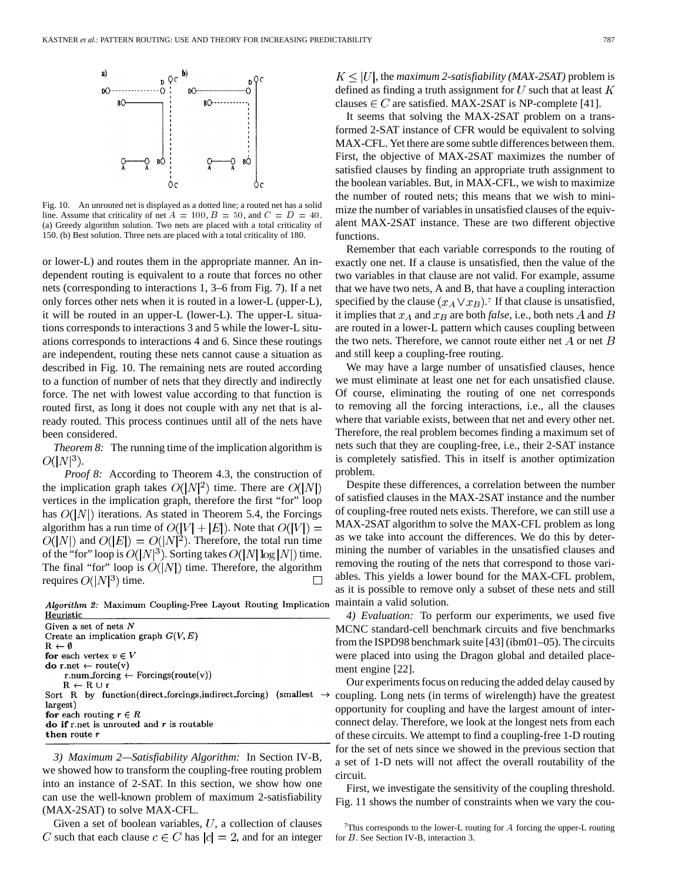

Fig. 10. An unrouted net is displayed as a dotted line; a routed net has a solid line. Assume that criticality of net  $A = 100$ ,  $B = 50$ , and  $C = D = 40$ . (a) Greedy algorithm solution. Two nets are placed with a total criticality of 150. (b) Best solution. Three nets are placed with a total criticality of 180.

or lower-L) and routes them in the appropriate manner. An independent routing is equivalent to a route that forces no other nets (corresponding to interactions 1, 3–6 from Fig. 7). If a net only forces other nets when it is routed in a lower-L (upper-L), it will be routed in an upper-L (lower-L). The upper-L situations corresponds to interactions 3 and 5 while the lower-L situations corresponds to interactions 4 and 6. Since these routings are independent, routing these nets cannot cause a situation as described in Fig. 10. The remaining nets are routed according to a function of number of nets that they directly and indirectly force. The net with lowest value according to that function is routed first, as long it does not couple with any net that is already routed. This process continues until all of the nets have been considered.

*Theorem 8:* The running time of the implication algorithm is  $O(|N|^3)$ .

*Proof 8:* According to Theorem 4.3, the construction of the implication graph takes  $O(|N|^2)$  time. There are  $O(|N|)$ vertices in the implication graph, therefore the first "for" loop has  $O(|N|)$  iterations. As stated in Theorem 5.4, the Forcings algorithm has a run time of  $O(|V| + |E|)$ . Note that  $O(|V|) =$  $O(|N|)$  and  $O(|E|) = O(|N|^2)$ . Therefore, the total run time of the "for" loop is  $O(|N|^3)$ . Sorting takes  $O(|N|\log|N|)$  time. The final "for" loop is  $O(|N|)$  time. Therefore, the algorithm requires  $O(|N|^3)$  time.

Algorithm 2: Maximum Coupling-Free Layout Routing Implication Heuristic

Given a set of nets  $N$ Create an implication graph  $G(V, E)$  $R \leftarrow \emptyset$ for each vertex  $v \in V$ do r.net  $\leftarrow$  route(v) r.num\_forcing  $\leftarrow$  Forcings(route(v))  $R \leftarrow R \cup r$ Sort R by function(direct\_forcings,indirect\_forcing) (smallest  $\rightarrow$ largest) for each routing  $r \in R$ do if r.net is unrouted and  $r$  is routable then route r

*3) Maximum 2—Satisfiability Algorithm:* In Section IV-B, we showed how to transform the coupling-free routing problem into an instance of 2-SAT. In this section, we show how one can use the well-known problem of maximum 2-satisfiability (MAX-2SAT) to solve MAX-CFL.

Given a set of boolean variables,  $U$ , a collection of clauses C such that each clause  $c \in C$  has  $|c| = 2$ , and for an integer

 $K \leq |U|$ , the *maximum 2-satisfiability (MAX-2SAT)* problem is defined as finding a truth assignment for  $U$  such that at least  $K$ clauses  $\in C$  are satisfied. MAX-2SAT is NP-complete [41].

It seems that solving the MAX-2SAT problem on a transformed 2-SAT instance of CFR would be equivalent to solving MAX-CFL. Yet there are some subtle differences between them. First, the objective of MAX-2SAT maximizes the number of satisfied clauses by finding an appropriate truth assignment to the boolean variables. But, in MAX-CFL, we wish to maximize the number of routed nets; this means that we wish to minimize the number of variables in unsatisfied clauses of the equivalent MAX-2SAT instance. These are two different objective functions.

Remember that each variable corresponds to the routing of exactly one net. If a clause is unsatisfied, then the value of the two variables in that clause are not valid. For example, assume that we have two nets, A and B, that have a coupling interaction specified by the clause  $(x_A \vee x_B)$ .<sup>7</sup> If that clause is unsatisfied, it implies that  $x_A$  and  $x_B$  are both *false*, i.e., both nets A and B are routed in a lower-L pattern which causes coupling between the two nets. Therefore, we cannot route either net  $A$  or net  $B$ and still keep a coupling-free routing.

We may have a large number of unsatisfied clauses, hence we must eliminate at least one net for each unsatisfied clause. Of course, eliminating the routing of one net corresponds to removing all the forcing interactions, i.e., all the clauses where that variable exists, between that net and every other net. Therefore, the real problem becomes finding a maximum set of nets such that they are coupling-free, i.e., their 2-SAT instance is completely satisfied. This in itself is another optimization problem.

Despite these differences, a correlation between the number of satisfied clauses in the MAX-2SAT instance and the number of coupling-free routed nets exists. Therefore, we can still use a MAX-2SAT algorithm to solve the MAX-CFL problem as long as we take into account the differences. We do this by determining the number of variables in the unsatisfied clauses and removing the routing of the nets that correspond to those variables. This yields a lower bound for the MAX-CFL problem, as it is possible to remove only a subset of these nets and still maintain a valid solution.

*4) Evaluation:* To perform our experiments, we used five MCNC standard-cell benchmark circuits and five benchmarks from the ISPD98 benchmark suite [43] (ibm01–05). The circuits were placed into using the Dragon global and detailed placement engine [22].

Our experiments focus on reducing the added delay caused by coupling. Long nets (in terms of wirelength) have the greatest opportunity for coupling and have the largest amount of interconnect delay. Therefore, we look at the longest nets from each of these circuits. We attempt to find a coupling-free 1-D routing for the set of nets since we showed in the previous section that a set of 1-D nets will not affect the overall routability of the circuit.

First, we investigate the sensitivity of the coupling threshold. Fig. 11 shows the number of constraints when we vary the cou-

 $7$ This corresponds to the lower-L routing for A forcing the upper-L routing for B. See Section IV-B, interaction 3.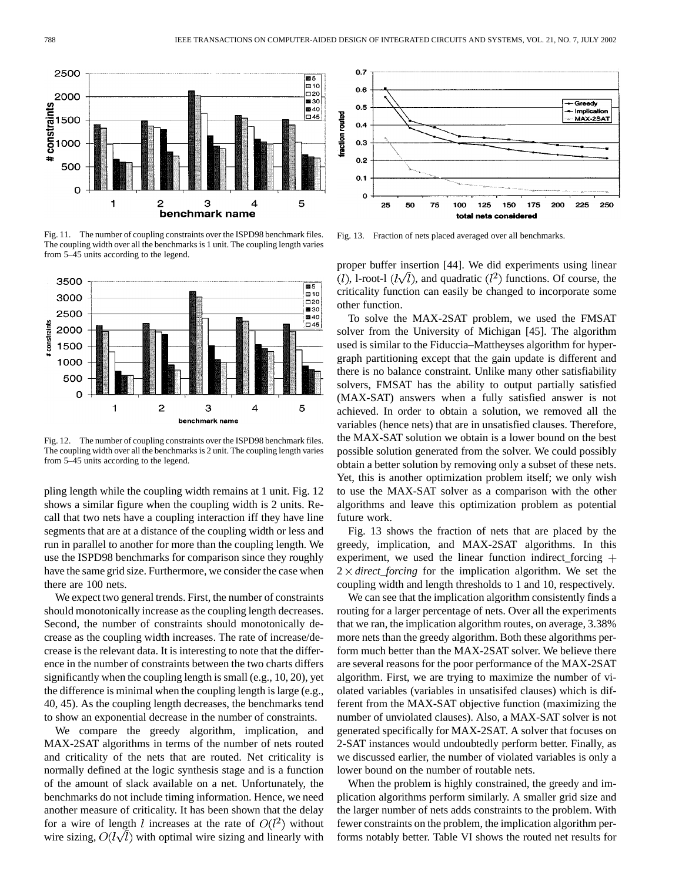

Fig. 11. The number of coupling constraints over the ISPD98 benchmark files. The coupling width over all the benchmarks is 1 unit. The coupling length varies from 5–45 units according to the legend.



Fig. 12. The number of coupling constraints over the ISPD98 benchmark files. The coupling width over all the benchmarks is 2 unit. The coupling length varies from 5–45 units according to the legend.

pling length while the coupling width remains at 1 unit. Fig. 12 shows a similar figure when the coupling width is 2 units. Recall that two nets have a coupling interaction iff they have line segments that are at a distance of the coupling width or less and run in parallel to another for more than the coupling length. We use the ISPD98 benchmarks for comparison since they roughly have the same grid size. Furthermore, we consider the case when there are 100 nets.

We expect two general trends. First, the number of constraints should monotonically increase as the coupling length decreases. Second, the number of constraints should monotonically decrease as the coupling width increases. The rate of increase/decrease is the relevant data. It is interesting to note that the difference in the number of constraints between the two charts differs significantly when the coupling length is small (e.g., 10, 20), yet the difference is minimal when the coupling length is large (e.g., 40, 45). As the coupling length decreases, the benchmarks tend to show an exponential decrease in the number of constraints.

We compare the greedy algorithm, implication, and MAX-2SAT algorithms in terms of the number of nets routed and criticality of the nets that are routed. Net criticality is normally defined at the logic synthesis stage and is a function of the amount of slack available on a net. Unfortunately, the benchmarks do not include timing information. Hence, we need another measure of criticality. It has been shown that the delay for a wire of length l increases at the rate of  $O(l^2)$  without wire sizing,  $O(l\sqrt{l})$  with optimal wire sizing and linearly with



Fig. 13. Fraction of nets placed averaged over all benchmarks.

proper buffer insertion [44]. We did experiments using linear  $(l)$ , l-root-l  $(l\sqrt{l})$ , and quadratic  $(l^2)$  functions. Of course, the criticality function can easily be changed to incorporate some other function.

To solve the MAX-2SAT problem, we used the FMSAT solver from the University of Michigan [45]. The algorithm used is similar to the Fiduccia–Mattheyses algorithm for hypergraph partitioning except that the gain update is different and there is no balance constraint. Unlike many other satisfiability solvers, FMSAT has the ability to output partially satisfied (MAX-SAT) answers when a fully satisfied answer is not achieved. In order to obtain a solution, we removed all the variables (hence nets) that are in unsatisfied clauses. Therefore, the MAX-SAT solution we obtain is a lower bound on the best possible solution generated from the solver. We could possibly obtain a better solution by removing only a subset of these nets. Yet, this is another optimization problem itself; we only wish to use the MAX-SAT solver as a comparison with the other algorithms and leave this optimization problem as potential future work.

Fig. 13 shows the fraction of nets that are placed by the greedy, implication, and MAX-2SAT algorithms. In this experiment, we used the linear function indirect forcing  $+$  $2 \times$  *direct\_forcing* for the implication algorithm. We set the coupling width and length thresholds to 1 and 10, respectively.

We can see that the implication algorithm consistently finds a routing for a larger percentage of nets. Over all the experiments that we ran, the implication algorithm routes, on average, 3.38% more nets than the greedy algorithm. Both these algorithms perform much better than the MAX-2SAT solver. We believe there are several reasons for the poor performance of the MAX-2SAT algorithm. First, we are trying to maximize the number of violated variables (variables in unsatisifed clauses) which is different from the MAX-SAT objective function (maximizing the number of unviolated clauses). Also, a MAX-SAT solver is not generated specifically for MAX-2SAT. A solver that focuses on 2-SAT instances would undoubtedly perform better. Finally, as we discussed earlier, the number of violated variables is only a lower bound on the number of routable nets.

When the problem is highly constrained, the greedy and implication algorithms perform similarly. A smaller grid size and the larger number of nets adds constraints to the problem. With fewer constraints on the problem, the implication algorithm performs notably better. Table VI shows the routed net results for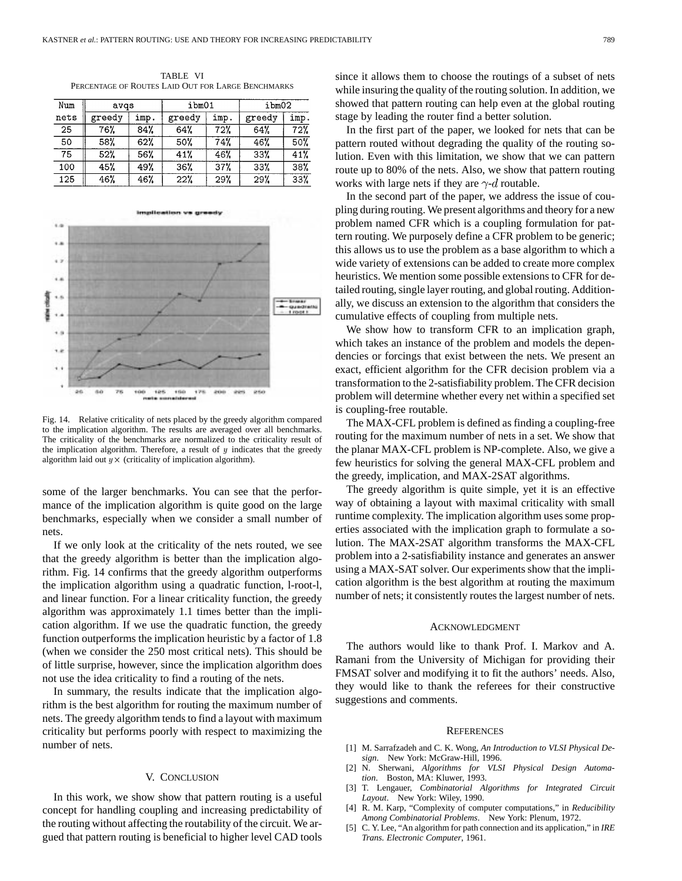TABLE VI PERCENTAGE OF ROUTES LAID OUT FOR LARGE BENCHMARKS

| Num  | avqs   |      | ibm01  |      | ibm02  |      |
|------|--------|------|--------|------|--------|------|
| nets | greedy | imp. | greedy | imp. | greedy | imp. |
| 25   | 76%    | 84%  | 64%    | 72%  | 64%    | 72%  |
| 50   | 58%    | 62%  | 50%    | 74%  | 46%    | 50%  |
| 75   | 52%    | 56%  | 41%    | 46%  | 33%    | 41%  |
| 100  | 45%    | 49%  | 36%    | 37%  | 33%    | 38%  |
| 125  | 46%    | 46%  | 22%    | 29%  | 29%    | 33%  |



Fig. 14. Relative criticality of nets placed by the greedy algorithm compared to the implication algorithm. The results are averaged over all benchmarks. The criticality of the benchmarks are normalized to the criticality result of the implication algorithm. Therefore, a result of  $y$  indicates that the greedy algorithm laid out  $y \times$  (criticality of implication algorithm).

some of the larger benchmarks. You can see that the performance of the implication algorithm is quite good on the large benchmarks, especially when we consider a small number of nets.

If we only look at the criticality of the nets routed, we see that the greedy algorithm is better than the implication algorithm. Fig. 14 confirms that the greedy algorithm outperforms the implication algorithm using a quadratic function, l-root-l, and linear function. For a linear criticality function, the greedy algorithm was approximately 1.1 times better than the implication algorithm. If we use the quadratic function, the greedy function outperforms the implication heuristic by a factor of 1.8 (when we consider the 250 most critical nets). This should be of little surprise, however, since the implication algorithm does not use the idea criticality to find a routing of the nets.

In summary, the results indicate that the implication algorithm is the best algorithm for routing the maximum number of nets. The greedy algorithm tends to find a layout with maximum criticality but performs poorly with respect to maximizing the number of nets.

# V. CONCLUSION

In this work, we show show that pattern routing is a useful concept for handling coupling and increasing predictability of the routing without affecting the routability of the circuit. We argued that pattern routing is beneficial to higher level CAD tools

since it allows them to choose the routings of a subset of nets while insuring the quality of the routing solution. In addition, we showed that pattern routing can help even at the global routing stage by leading the router find a better solution.

In the first part of the paper, we looked for nets that can be pattern routed without degrading the quality of the routing solution. Even with this limitation, we show that we can pattern route up to 80% of the nets. Also, we show that pattern routing works with large nets if they are  $\gamma$ -d routable.

In the second part of the paper, we address the issue of coupling during routing. We present algorithms and theory for a new problem named CFR which is a coupling formulation for pattern routing. We purposely define a CFR problem to be generic; this allows us to use the problem as a base algorithm to which a wide variety of extensions can be added to create more complex heuristics. We mention some possible extensions to CFR for detailed routing, single layer routing, and global routing. Additionally, we discuss an extension to the algorithm that considers the cumulative effects of coupling from multiple nets.

We show how to transform CFR to an implication graph, which takes an instance of the problem and models the dependencies or forcings that exist between the nets. We present an exact, efficient algorithm for the CFR decision problem via a transformation to the 2-satisfiability problem. The CFR decision problem will determine whether every net within a specified set is coupling-free routable.

The MAX-CFL problem is defined as finding a coupling-free routing for the maximum number of nets in a set. We show that the planar MAX-CFL problem is NP-complete. Also, we give a few heuristics for solving the general MAX-CFL problem and the greedy, implication, and MAX-2SAT algorithms.

The greedy algorithm is quite simple, yet it is an effective way of obtaining a layout with maximal criticality with small runtime complexity. The implication algorithm uses some properties associated with the implication graph to formulate a solution. The MAX-2SAT algorithm transforms the MAX-CFL problem into a 2-satisfiability instance and generates an answer using a MAX-SAT solver. Our experiments show that the implication algorithm is the best algorithm at routing the maximum number of nets; it consistently routes the largest number of nets.

#### ACKNOWLEDGMENT

The authors would like to thank Prof. I. Markov and A. Ramani from the University of Michigan for providing their FMSAT solver and modifying it to fit the authors' needs. Also, they would like to thank the referees for their constructive suggestions and comments.

#### **REFERENCES**

- [1] M. Sarrafzadeh and C. K. Wong, *An Introduction to VLSI Physical Design*. New York: McGraw-Hill, 1996.
- [2] N. Sherwani, *Algorithms for VLSI Physical Design Automation*. Boston, MA: Kluwer, 1993.
- [3] T. Lengauer, *Combinatorial Algorithms for Integrated Circuit Layout*. New York: Wiley, 1990.
- [4] R. M. Karp, "Complexity of computer computations," in *Reducibility Among Combinatorial Problems*. New York: Plenum, 1972.
- [5] C. Y. Lee, "An algorithm for path connection and its application," in *IRE Trans. Electronic Computer*, 1961.